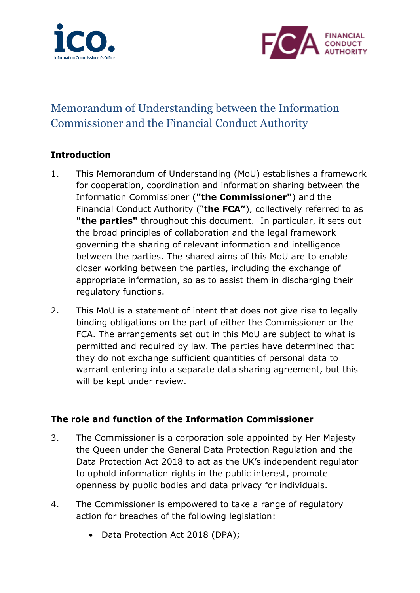



# Memorandum of Understanding between the Information Commissioner and the Financial Conduct Authority

# **Introduction**

- 1. This Memorandum of Understanding (MoU) establishes a framework for cooperation, coordination and information sharing between the Information Commissioner (**"the Commissioner"**) and the Financial Conduct Authority ("**the FCA"**), collectively referred to as **"the parties"** throughout this document. In particular, it sets out the broad principles of collaboration and the legal framework governing the sharing of relevant information and intelligence between the parties. The shared aims of this MoU are to enable closer working between the parties, including the exchange of appropriate information, so as to assist them in discharging their regulatory functions.
- 2. This MoU is a statement of intent that does not give rise to legally binding obligations on the part of either the Commissioner or the FCA. The arrangements set out in this MoU are subject to what is permitted and required by law. The parties have determined that they do not exchange sufficient quantities of personal data to warrant entering into a separate data sharing agreement, but this will be kept under review.

## **The role and function of the Information Commissioner**

- 3. The Commissioner is a corporation sole appointed by Her Majesty the Queen under the General Data Protection Regulation and the Data Protection Act 2018 to act as the UK's independent regulator to uphold information rights in the public interest, promote openness by public bodies and data privacy for individuals.
- 4. The Commissioner is empowered to take a range of regulatory action for breaches of the following legislation:
	- Data Protection Act 2018 (DPA);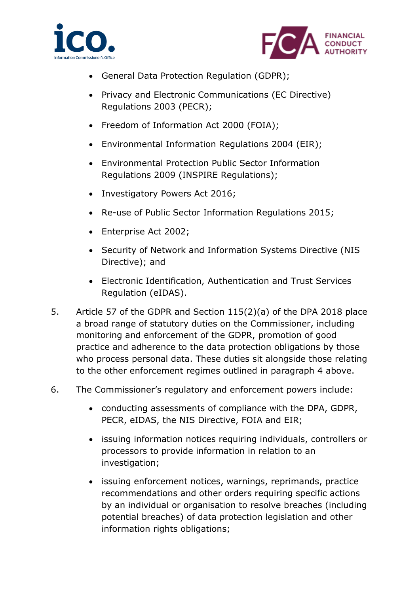



- General Data Protection Regulation (GDPR);
- Privacy and Electronic Communications (EC Directive) Regulations 2003 (PECR);
- Freedom of Information Act 2000 (FOIA);
- Environmental Information Regulations 2004 (EIR);
- Environmental Protection Public Sector Information Regulations 2009 (INSPIRE Regulations);
- Investigatory Powers Act 2016;
- Re-use of Public Sector Information Regulations 2015;
- Enterprise Act 2002;
- Security of Network and Information Systems Directive (NIS Directive); and
- Electronic Identification, Authentication and Trust Services Regulation (eIDAS).
- 5. Article 57 of the GDPR and Section 115(2)(a) of the DPA 2018 place a broad range of statutory duties on the Commissioner, including monitoring and enforcement of the GDPR, promotion of good practice and adherence to the data protection obligations by those who process personal data. These duties sit alongside those relating to the other enforcement regimes outlined in paragraph 4 above.
- 6. The Commissioner's regulatory and enforcement powers include:
	- conducting assessments of compliance with the DPA, GDPR, PECR, eIDAS, the NIS Directive, FOIA and EIR;
	- issuing information notices requiring individuals, controllers or processors to provide information in relation to an investigation;
	- issuing enforcement notices, warnings, reprimands, practice recommendations and other orders requiring specific actions by an individual or organisation to resolve breaches (including potential breaches) of data protection legislation and other information rights obligations;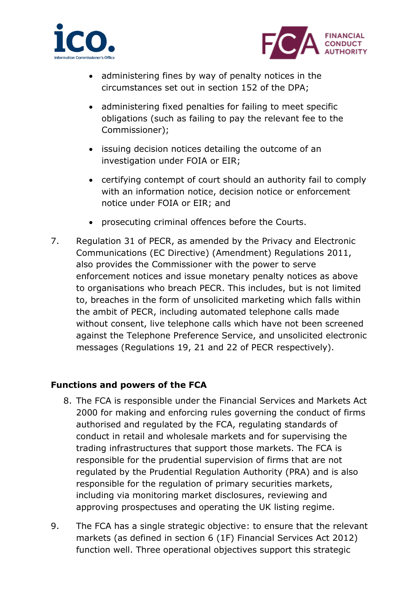



- administering fines by way of penalty notices in the circumstances set out in section 152 of the DPA;
- administering fixed penalties for failing to meet specific obligations (such as failing to pay the relevant fee to the Commissioner);
- issuing decision notices detailing the outcome of an investigation under FOIA or EIR;
- certifying contempt of court should an authority fail to comply with an information notice, decision notice or enforcement notice under FOIA or EIR; and
- prosecuting criminal offences before the Courts.
- 7. Regulation 31 of PECR, as amended by the Privacy and Electronic Communications (EC Directive) (Amendment) Regulations 2011, also provides the Commissioner with the power to serve enforcement notices and issue monetary penalty notices as above to organisations who breach PECR. This includes, but is not limited to, breaches in the form of unsolicited marketing which falls within the ambit of PECR, including automated telephone calls made without consent, live telephone calls which have not been screened against the Telephone Preference Service, and unsolicited electronic messages (Regulations 19, 21 and 22 of PECR respectively).

# **Functions and powers of the FCA**

- 8. The FCA is responsible under the Financial Services and Markets Act 2000 for making and enforcing rules governing the conduct of firms authorised and regulated by the FCA, regulating standards of conduct in retail and wholesale markets and for supervising the trading infrastructures that support those markets. The FCA is responsible for the prudential supervision of firms that are not regulated by the Prudential Regulation Authority (PRA) and is also responsible for the regulation of primary securities markets, including via monitoring market disclosures, reviewing and approving prospectuses and operating the UK listing regime.
- 9. The FCA has a single strategic objective: to ensure that the relevant markets (as defined in section 6 (1F) Financial Services Act 2012) function well. Three operational objectives support this strategic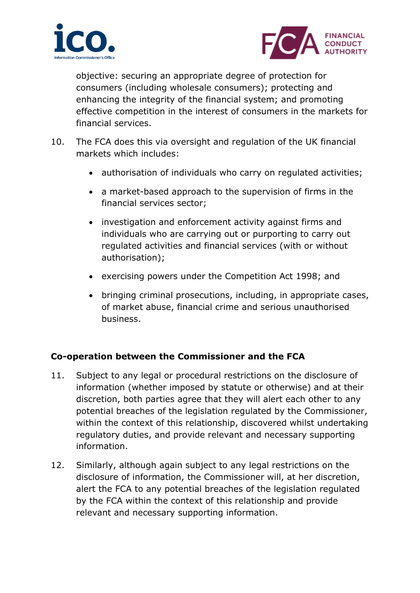



objective: securing an appropriate degree of protection for consumers (including wholesale consumers); protecting and enhancing the integrity of the financial system; and promoting effective competition in the interest of consumers in the markets for financial services.

- 10. The FCA does this via oversight and regulation of the UK financial markets which includes:
	- authorisation of individuals who carry on regulated activities;
	- a market-based approach to the supervision of firms in the financial services sector;
	- investigation and enforcement activity against firms and individuals who are carrying out or purporting to carry out regulated activities and financial services (with or without authorisation);
	- exercising powers under the Competition Act 1998; and
	- bringing criminal prosecutions, including, in appropriate cases, of market abuse, financial crime and serious unauthorised business.

# **Co-operation between the Commissioner and the FCA**

- 11. Subject to any legal or procedural restrictions on the disclosure of information (whether imposed by statute or otherwise) and at their discretion, both parties agree that they will alert each other to any potential breaches of the legislation regulated by the Commissioner, within the context of this relationship, discovered whilst undertaking regulatory duties, and provide relevant and necessary supporting information.
- 12. Similarly, although again subject to any legal restrictions on the disclosure of information, the Commissioner will, at her discretion, alert the FCA to any potential breaches of the legislation regulated by the FCA within the context of this relationship and provide relevant and necessary supporting information.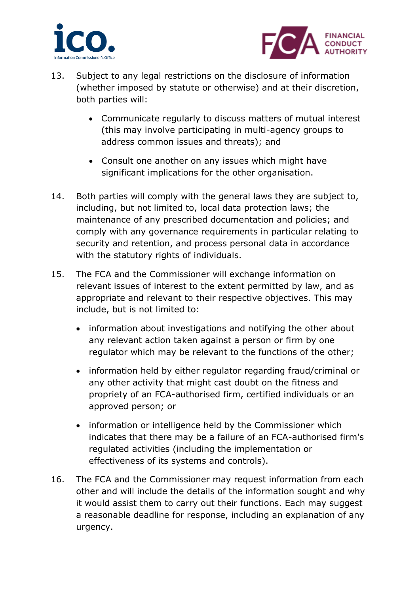



- 13. Subject to any legal restrictions on the disclosure of information (whether imposed by statute or otherwise) and at their discretion, both parties will:
	- Communicate regularly to discuss matters of mutual interest (this may involve participating in multi-agency groups to address common issues and threats); and
	- Consult one another on any issues which might have significant implications for the other organisation.
- 14. Both parties will comply with the general laws they are subject to, including, but not limited to, local data protection laws; the maintenance of any prescribed documentation and policies; and comply with any governance requirements in particular relating to security and retention, and process personal data in accordance with the statutory rights of individuals.
- 15. The FCA and the Commissioner will exchange information on relevant issues of interest to the extent permitted by law, and as appropriate and relevant to their respective objectives. This may include, but is not limited to:
	- information about investigations and notifying the other about any relevant action taken against a person or firm by one regulator which may be relevant to the functions of the other;
	- information held by either regulator regarding fraud/criminal or any other activity that might cast doubt on the fitness and propriety of an FCA-authorised firm, certified individuals or an approved person; or
	- information or intelligence held by the Commissioner which indicates that there may be a failure of an FCA-authorised firm's regulated activities (including the implementation or effectiveness of its systems and controls).
- 16. The FCA and the Commissioner may request information from each other and will include the details of the information sought and why it would assist them to carry out their functions. Each may suggest a reasonable deadline for response, including an explanation of any urgency.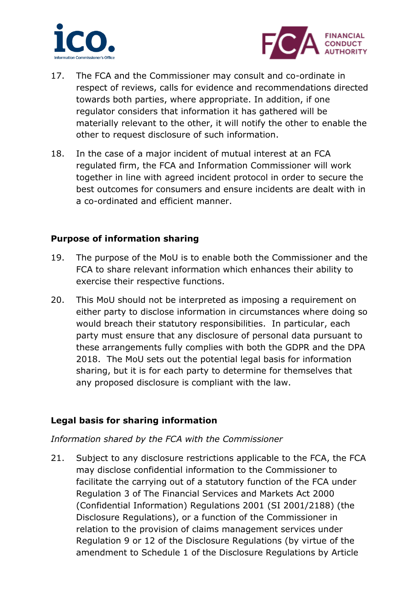



- 17. The FCA and the Commissioner may consult and co-ordinate in respect of reviews, calls for evidence and recommendations directed towards both parties, where appropriate. In addition, if one regulator considers that information it has gathered will be materially relevant to the other, it will notify the other to enable the other to request disclosure of such information.
- 18. In the case of a major incident of mutual interest at an FCA regulated firm, the FCA and Information Commissioner will work together in line with agreed incident protocol in order to secure the best outcomes for consumers and ensure incidents are dealt with in a co-ordinated and efficient manner.

#### **Purpose of information sharing**

- 19. The purpose of the MoU is to enable both the Commissioner and the FCA to share relevant information which enhances their ability to exercise their respective functions.
- 20. This MoU should not be interpreted as imposing a requirement on either party to disclose information in circumstances where doing so would breach their statutory responsibilities. In particular, each party must ensure that any disclosure of personal data pursuant to these arrangements fully complies with both the GDPR and the DPA 2018. The MoU sets out the potential legal basis for information sharing, but it is for each party to determine for themselves that any proposed disclosure is compliant with the law.

## **Legal basis for sharing information**

#### *Information shared by the FCA with the Commissioner*

21. Subject to any disclosure restrictions applicable to the FCA, the FCA may disclose confidential information to the Commissioner to facilitate the carrying out of a statutory function of the FCA under Regulation 3 of The Financial Services and Markets Act 2000 (Confidential Information) Regulations 2001 (SI 2001/2188) (the Disclosure Regulations), or a function of the Commissioner in relation to the provision of claims management services under Regulation 9 or 12 of the Disclosure Regulations (by virtue of the amendment to Schedule 1 of the Disclosure Regulations by Article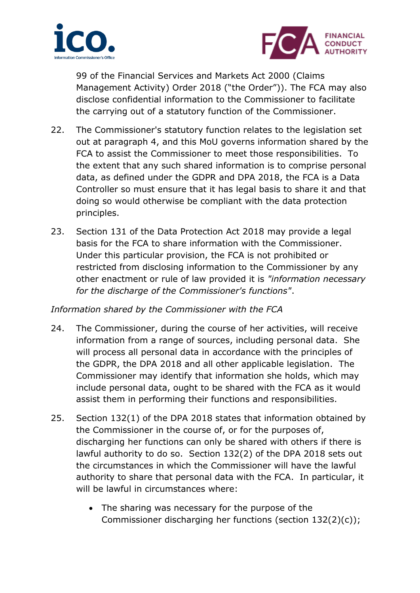



99 of the Financial Services and Markets Act 2000 (Claims Management Activity) Order 2018 ("the Order")). The FCA may also disclose confidential information to the Commissioner to facilitate the carrying out of a statutory function of the Commissioner.

- 22. The Commissioner's statutory function relates to the legislation set out at paragraph 4, and this MoU governs information shared by the FCA to assist the Commissioner to meet those responsibilities. To the extent that any such shared information is to comprise personal data, as defined under the GDPR and DPA 2018, the FCA is a Data Controller so must ensure that it has legal basis to share it and that doing so would otherwise be compliant with the data protection principles.
- 23. Section 131 of the Data Protection Act 2018 may provide a legal basis for the FCA to share information with the Commissioner. Under this particular provision, the FCA is not prohibited or restricted from disclosing information to the Commissioner by any other enactment or rule of law provided it is *"information necessary for the discharge of the Commissioner's functions"*.

## *Information shared by the Commissioner with the FCA*

- 24. The Commissioner, during the course of her activities, will receive information from a range of sources, including personal data. She will process all personal data in accordance with the principles of the GDPR, the DPA 2018 and all other applicable legislation. The Commissioner may identify that information she holds, which may include personal data, ought to be shared with the FCA as it would assist them in performing their functions and responsibilities.
- 25. Section 132(1) of the DPA 2018 states that information obtained by the Commissioner in the course of, or for the purposes of, discharging her functions can only be shared with others if there is lawful authority to do so. Section 132(2) of the DPA 2018 sets out the circumstances in which the Commissioner will have the lawful authority to share that personal data with the FCA. In particular, it will be lawful in circumstances where:
	- The sharing was necessary for the purpose of the Commissioner discharging her functions (section 132(2)(c));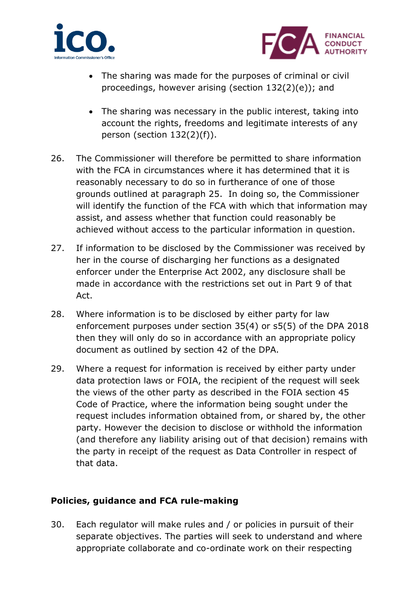



- The sharing was made for the purposes of criminal or civil proceedings, however arising (section 132(2)(e)); and
- The sharing was necessary in the public interest, taking into account the rights, freedoms and legitimate interests of any person (section 132(2)(f)).
- 26. The Commissioner will therefore be permitted to share information with the FCA in circumstances where it has determined that it is reasonably necessary to do so in furtherance of one of those grounds outlined at paragraph 25. In doing so, the Commissioner will identify the function of the FCA with which that information may assist, and assess whether that function could reasonably be achieved without access to the particular information in question.
- 27. If information to be disclosed by the Commissioner was received by her in the course of discharging her functions as a designated enforcer under the Enterprise Act 2002, any disclosure shall be made in accordance with the restrictions set out in Part 9 of that Act.
- 28. Where information is to be disclosed by either party for law enforcement purposes under section 35(4) or s5(5) of the DPA 2018 then they will only do so in accordance with an appropriate policy document as outlined by section 42 of the DPA.
- 29. Where a request for information is received by either party under data protection laws or FOIA, the recipient of the request will seek the views of the other party as described in the FOIA section 45 Code of Practice, where the information being sought under the request includes information obtained from, or shared by, the other party. However the decision to disclose or withhold the information (and therefore any liability arising out of that decision) remains with the party in receipt of the request as Data Controller in respect of that data.

## **Policies, guidance and FCA rule-making**

30. Each regulator will make rules and / or policies in pursuit of their separate objectives. The parties will seek to understand and where appropriate collaborate and co-ordinate work on their respecting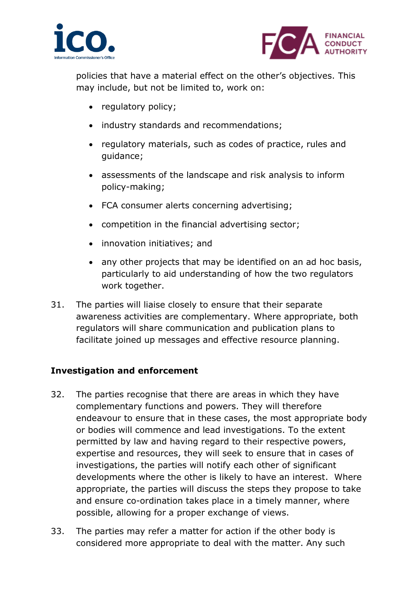



policies that have a material effect on the other's objectives. This may include, but not be limited to, work on:

- regulatory policy;
- industry standards and recommendations;
- regulatory materials, such as codes of practice, rules and guidance;
- assessments of the landscape and risk analysis to inform policy-making;
- FCA consumer alerts concerning advertising;
- competition in the financial advertising sector;
- innovation initiatives; and
- any other projects that may be identified on an ad hoc basis, particularly to aid understanding of how the two regulators work together.
- 31. The parties will liaise closely to ensure that their separate awareness activities are complementary. Where appropriate, both regulators will share communication and publication plans to facilitate joined up messages and effective resource planning.

## **Investigation and enforcement**

- 32. The parties recognise that there are areas in which they have complementary functions and powers. They will therefore endeavour to ensure that in these cases, the most appropriate body or bodies will commence and lead investigations. To the extent permitted by law and having regard to their respective powers, expertise and resources, they will seek to ensure that in cases of investigations, the parties will notify each other of significant developments where the other is likely to have an interest. Where appropriate, the parties will discuss the steps they propose to take and ensure co-ordination takes place in a timely manner, where possible, allowing for a proper exchange of views.
- 33. The parties may refer a matter for action if the other body is considered more appropriate to deal with the matter. Any such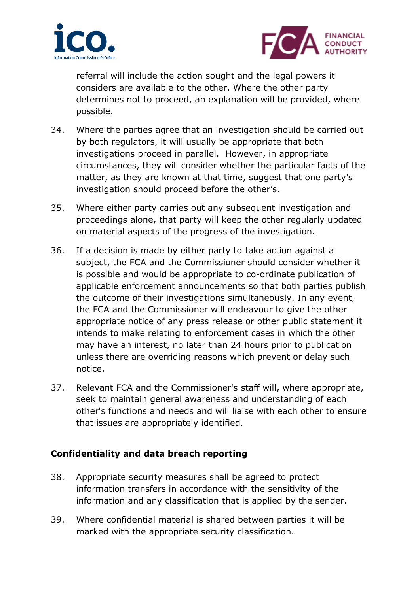



referral will include the action sought and the legal powers it considers are available to the other. Where the other party determines not to proceed, an explanation will be provided, where possible.

- 34. Where the parties agree that an investigation should be carried out by both regulators, it will usually be appropriate that both investigations proceed in parallel. However, in appropriate circumstances, they will consider whether the particular facts of the matter, as they are known at that time, suggest that one party's investigation should proceed before the other's.
- 35. Where either party carries out any subsequent investigation and proceedings alone, that party will keep the other regularly updated on material aspects of the progress of the investigation.
- 36. If a decision is made by either party to take action against a subject, the FCA and the Commissioner should consider whether it is possible and would be appropriate to co-ordinate publication of applicable enforcement announcements so that both parties publish the outcome of their investigations simultaneously. In any event, the FCA and the Commissioner will endeavour to give the other appropriate notice of any press release or other public statement it intends to make relating to enforcement cases in which the other may have an interest, no later than 24 hours prior to publication unless there are overriding reasons which prevent or delay such notice.
- 37. Relevant FCA and the Commissioner's staff will, where appropriate, seek to maintain general awareness and understanding of each other's functions and needs and will liaise with each other to ensure that issues are appropriately identified.

## **Confidentiality and data breach reporting**

- 38. Appropriate security measures shall be agreed to protect information transfers in accordance with the sensitivity of the information and any classification that is applied by the sender.
- 39. Where confidential material is shared between parties it will be marked with the appropriate security classification.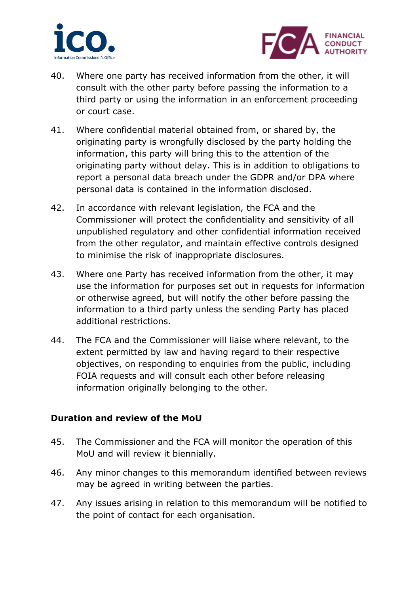



- 40. Where one party has received information from the other, it will consult with the other party before passing the information to a third party or using the information in an enforcement proceeding or court case.
- 41. Where confidential material obtained from, or shared by, the originating party is wrongfully disclosed by the party holding the information, this party will bring this to the attention of the originating party without delay. This is in addition to obligations to report a personal data breach under the GDPR and/or DPA where personal data is contained in the information disclosed.
- 42. In accordance with relevant legislation, the FCA and the Commissioner will protect the confidentiality and sensitivity of all unpublished regulatory and other confidential information received from the other regulator, and maintain effective controls designed to minimise the risk of inappropriate disclosures.
- 43. Where one Party has received information from the other, it may use the information for purposes set out in requests for information or otherwise agreed, but will notify the other before passing the information to a third party unless the sending Party has placed additional restrictions.
- 44. The FCA and the Commissioner will liaise where relevant, to the extent permitted by law and having regard to their respective objectives, on responding to enquiries from the public, including FOIA requests and will consult each other before releasing information originally belonging to the other.

## **Duration and review of the MoU**

- 45. The Commissioner and the FCA will monitor the operation of this MoU and will review it biennially.
- 46. Any minor changes to this memorandum identified between reviews may be agreed in writing between the parties.
- 47. Any issues arising in relation to this memorandum will be notified to the point of contact for each organisation.